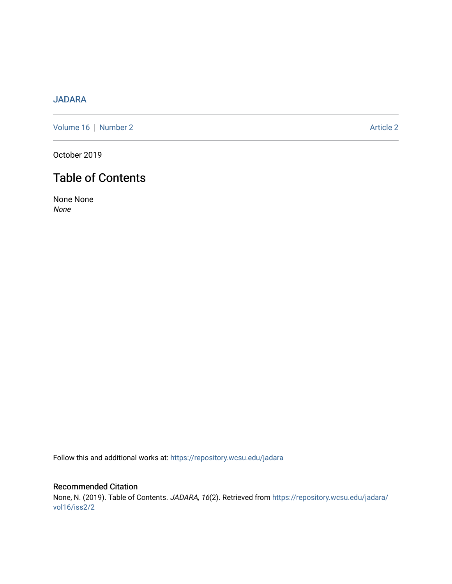## [JADARA](https://repository.wcsu.edu/jadara)

[Volume 16](https://repository.wcsu.edu/jadara/vol16) | [Number 2](https://repository.wcsu.edu/jadara/vol16/iss2) Article 2

October 2019

# Table of Contents

None None None

Follow this and additional works at: [https://repository.wcsu.edu/jadara](https://repository.wcsu.edu/jadara?utm_source=repository.wcsu.edu%2Fjadara%2Fvol16%2Fiss2%2F2&utm_medium=PDF&utm_campaign=PDFCoverPages)

Recommended Citation None, N. (2019). Table of Contents. JADARA, 16(2). Retrieved from [https://repository.wcsu.edu/jadara/](https://repository.wcsu.edu/jadara/vol16/iss2/2?utm_source=repository.wcsu.edu%2Fjadara%2Fvol16%2Fiss2%2F2&utm_medium=PDF&utm_campaign=PDFCoverPages) [vol16/iss2/2](https://repository.wcsu.edu/jadara/vol16/iss2/2?utm_source=repository.wcsu.edu%2Fjadara%2Fvol16%2Fiss2%2F2&utm_medium=PDF&utm_campaign=PDFCoverPages)